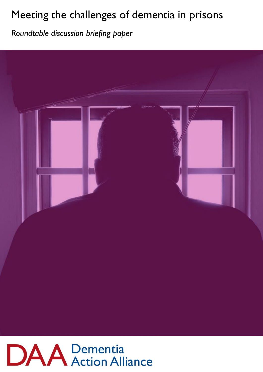# Meeting the challenges of dementia in prisons

\_\_\_\_\_\_\_\_\_\_\_\_\_\_\_\_\_\_\_\_\_\_\_\_\_\_\_\_\_\_\_\_\_\_\_\_\_\_\_\_\_\_\_\_\_\_\_\_\_\_\_\_\_\_\_\_\_\_\_\_\_\_\_\_\_\_\_\_\_\_\_\_\_ *Roundtable discussion briefing paper*



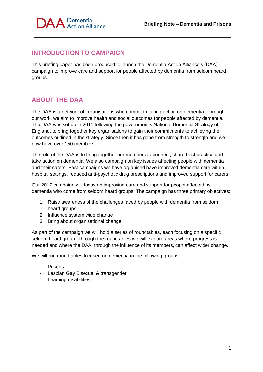

## **INTRODUCTION TO CAMPAIGN**

This briefing paper has been produced to launch the Dementia Action Alliance's (DAA) campaign to improve care and support for people affected by dementia from seldom heard groups.

\_\_\_\_\_\_\_\_\_\_\_\_\_\_\_\_\_\_\_\_\_\_\_\_\_\_\_\_\_\_\_\_\_\_\_\_\_\_\_\_\_\_\_\_\_\_\_\_\_\_\_\_\_\_\_\_\_\_\_\_\_\_\_\_\_\_\_\_\_\_\_\_\_

# **ABOUT THE DAA**

The DAA is a network of organisations who commit to taking action on dementia. Through our work, we aim to improve health and social outcomes for people affected by dementia. The DAA was set up in 2011 following the government's National Dementia Strategy of England, to bring together key organisations to gain their commitments to achieving the outcomes outlined in the strategy. Since then it has gone from strength to strength and we now have over 150 members.

The role of the DAA is to bring together our members to connect, share best practice and take action on dementia. We also campaign on key issues affecting people with dementia and their carers. Past campaigns we have organised have improved dementia care within hospital settings, reduced anti-psychotic drug prescriptions and improved support for carers.

Our 2017 campaign will focus on improving care and support for people affected by dementia who come from seldom heard groups. The campaign has three primary objectives:

- 1. Raise awareness of the challenges faced by people with dementia from seldom heard groups
- 2. Influence system wide change
- 3. Bring about organisational change

As part of the campaign we will hold a series of roundtables, each focusing on a specific seldom heard group. Through the roundtables we will explore areas where progress is needed and where the DAA, through the influence of its members, can affect wider change.

We will run roundtables focused on dementia in the following groups:

- **Prisons**
- Lesbian Gay Bisexual & transgender
- Learning disabilities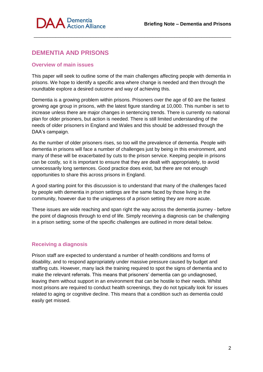

# **DEMENTIA AND PRISONS**

#### **Overview of main issues**

This paper will seek to outline some of the main challenges affecting people with dementia in prisons. We hope to identify a specific area where change is needed and then through the roundtable explore a desired outcome and way of achieving this.

\_\_\_\_\_\_\_\_\_\_\_\_\_\_\_\_\_\_\_\_\_\_\_\_\_\_\_\_\_\_\_\_\_\_\_\_\_\_\_\_\_\_\_\_\_\_\_\_\_\_\_\_\_\_\_\_\_\_\_\_\_\_\_\_\_\_\_\_\_\_\_\_\_

Dementia is a growing problem within prisons. Prisoners over the age of 60 are the fastest growing age group in prisons, with the latest figure standing at 10,000. This number is set to increase unless there are major changes in sentencing trends. There is currently no national plan for older prisoners, but action is needed. There is still limited understanding of the needs of older prisoners in England and Wales and this should be addressed through the DAA's campaign.

As the number of older prisoners rises, so too will the prevalence of dementia. People with dementia in prisons will face a number of challenges just by being in this environment, and many of these will be exacerbated by cuts to the prison service. Keeping people in prisons can be costly, so it is important to ensure that they are dealt with appropriately, to avoid unnecessarily long sentences. Good practice does exist, but there are not enough opportunities to share this across prisons in England.

A good starting point for this discussion is to understand that many of the challenges faced by people with dementia in prison settings are the same faced by those living in the community, however due to the uniqueness of a prison setting they are more acute.

These issues are wide reaching and span right the way across the dementia journey - before the point of diagnosis through to end of life. Simply receiving a diagnosis can be challenging in a prison setting; some of the specific challenges are outlined in more detail below.

#### **Receiving a diagnosis**

Prison staff are expected to understand a number of health conditions and forms of disability, and to respond appropriately under massive pressure caused by budget and staffing cuts. However, many lack the training required to spot the signs of dementia and to make the relevant referrals. This means that prisoners' dementia can go undiagnosed, leaving them without support in an environment that can be hostile to their needs. Whilst most prisons are required to conduct health screenings, they do not typically look for issues related to aging or cognitive decline. This means that a condition such as dementia could easily get missed.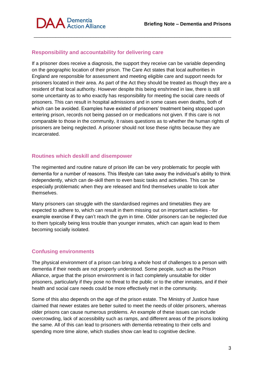

## **Responsibility and accountability for delivering care**

If a prisoner does receive a diagnosis, the support they receive can be variable depending on the geographic location of their prison. The Care Act states that local authorities in England are responsible for assessment and meeting eligible care and support needs for prisoners located in their area. As part of the Act they should be treated as though they are a resident of that local authority. However despite this being enshrined in law, there is still some uncertainty as to who exactly has responsibility for meeting the social care needs of prisoners. This can result in hospital admissions and in some cases even deaths, both of which can be avoided. Examples have existed of prisoners' treatment being stopped upon entering prison, records not being passed on or medications not given. If this care is not comparable to those in the community, it raises questions as to whether the human rights of prisoners are being neglected. A prisoner should not lose these rights because they are incarcerated.

\_\_\_\_\_\_\_\_\_\_\_\_\_\_\_\_\_\_\_\_\_\_\_\_\_\_\_\_\_\_\_\_\_\_\_\_\_\_\_\_\_\_\_\_\_\_\_\_\_\_\_\_\_\_\_\_\_\_\_\_\_\_\_\_\_\_\_\_\_\_\_\_\_

#### **Routines which deskill and disempower**

The regimented and routine nature of prison life can be very problematic for people with dementia for a number of reasons. This lifestyle can take away the individual's ability to think independently, which can de-skill them to even basic tasks and activities. This can be especially problematic when they are released and find themselves unable to look after themselves.

Many prisoners can struggle with the standardised regimes and timetables they are expected to adhere to, which can result in them missing out on important activities - for example exercise if they can't reach the gym in time. Older prisoners can be neglected due to them typically being less trouble than younger inmates, which can again lead to them becoming socially isolated.

#### **Confusing environments**

The physical environment of a prison can bring a whole host of challenges to a person with dementia if their needs are not properly understood. Some people, such as the Prison Alliance, argue that the prison environment is in fact completely unsuitable for older prisoners, particularly if they pose no threat to the public or to the other inmates, and if their health and social care needs could be more effectively met in the community.

Some of this also depends on the age of the prison estate. The Ministry of Justice have claimed that newer estates are better suited to meet the needs of older prisoners, whereas older prisons can cause numerous problems. An example of these issues can include overcrowding, lack of accessibility such as ramps, and different areas of the prisons looking the same. All of this can lead to prisoners with dementia retreating to their cells and spending more time alone, which studies show can lead to cognitive decline.